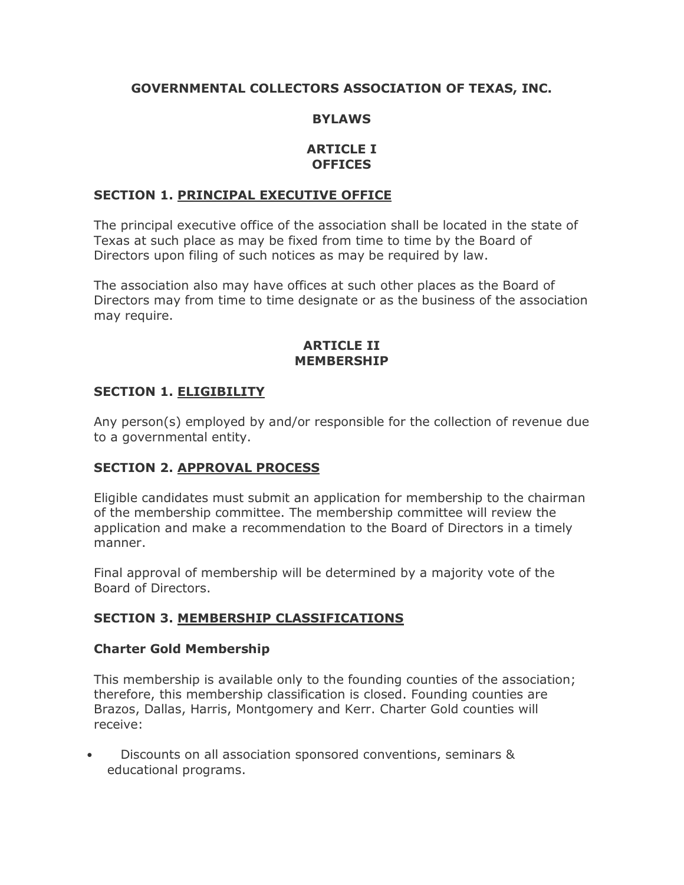## **GOVERNMENTAL COLLECTORS ASSOCIATION OF TEXAS, INC.**

#### **BYLAWS**

#### **ARTICLE I OFFICES**

#### **SECTION 1. PRINCIPAL EXECUTIVE OFFICE**

The principal executive office of the association shall be located in the state of Texas at such place as may be fixed from time to time by the Board of Directors upon filing of such notices as may be required by law.

The association also may have offices at such other places as the Board of Directors may from time to time designate or as the business of the association may require.

#### **ARTICLE II MEMBERSHIP**

#### **SECTION 1. ELIGIBILITY**

Any person(s) employed by and/or responsible for the collection of revenue due to a governmental entity.

### **SECTION 2. APPROVAL PROCESS**

Eligible candidates must submit an application for membership to the chairman of the membership committee. The membership committee will review the application and make a recommendation to the Board of Directors in a timely manner.

Final approval of membership will be determined by a majority vote of the Board of Directors.

#### **SECTION 3. MEMBERSHIP CLASSIFICATIONS**

#### **Charter Gold Membership**

This membership is available only to the founding counties of the association; therefore, this membership classification is closed. Founding counties are Brazos, Dallas, Harris, Montgomery and Kerr. Charter Gold counties will receive:

• Discounts on all association sponsored conventions, seminars & educational programs.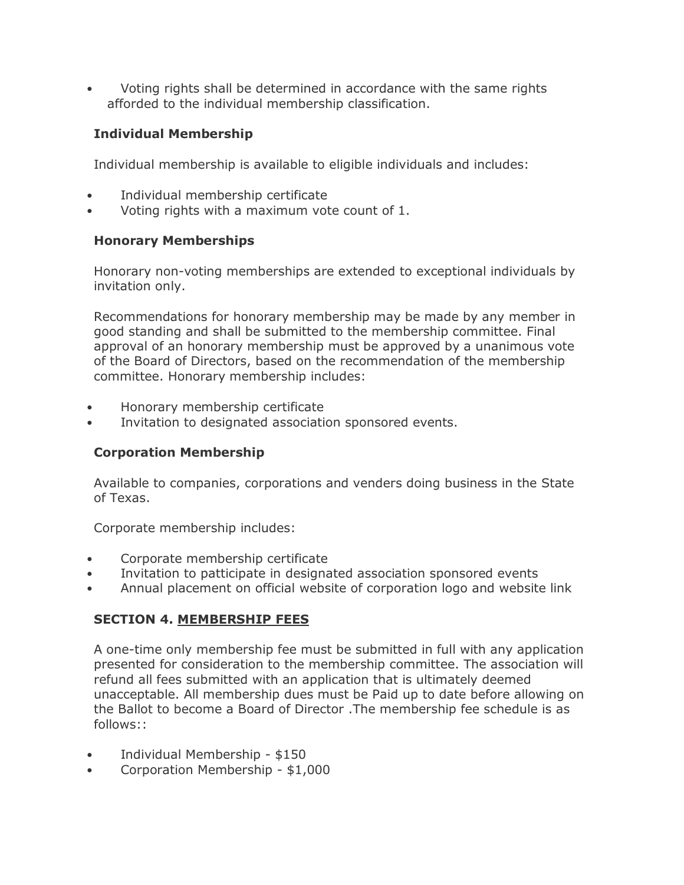• Voting rights shall be determined in accordance with the same rights afforded to the individual membership classification.

# **Individual Membership**

Individual membership is available to eligible individuals and includes:

- Individual membership certificate
- Voting rights with a maximum vote count of 1.

## **Honorary Memberships**

Honorary non-voting memberships are extended to exceptional individuals by invitation only.

Recommendations for honorary membership may be made by any member in good standing and shall be submitted to the membership committee. Final approval of an honorary membership must be approved by a unanimous vote of the Board of Directors, based on the recommendation of the membership committee. Honorary membership includes:

- Honorary membership certificate
- Invitation to designated association sponsored events.

# **Corporation Membership**

Available to companies, corporations and venders doing business in the State of Texas.

Corporate membership includes:

- Corporate membership certificate
- Invitation to patticipate in designated association sponsored events
- Annual placement on official website of corporation logo and website link

# **SECTION 4. MEMBERSHIP FEES**

A one-time only membership fee must be submitted in full with any application presented for consideration to the membership committee. The association will refund all fees submitted with an application that is ultimately deemed unacceptable. All membership dues must be Paid up to date before allowing on the Ballot to become a Board of Director .The membership fee schedule is as follows::

- Individual Membership \$150
- Corporation Membership \$1,000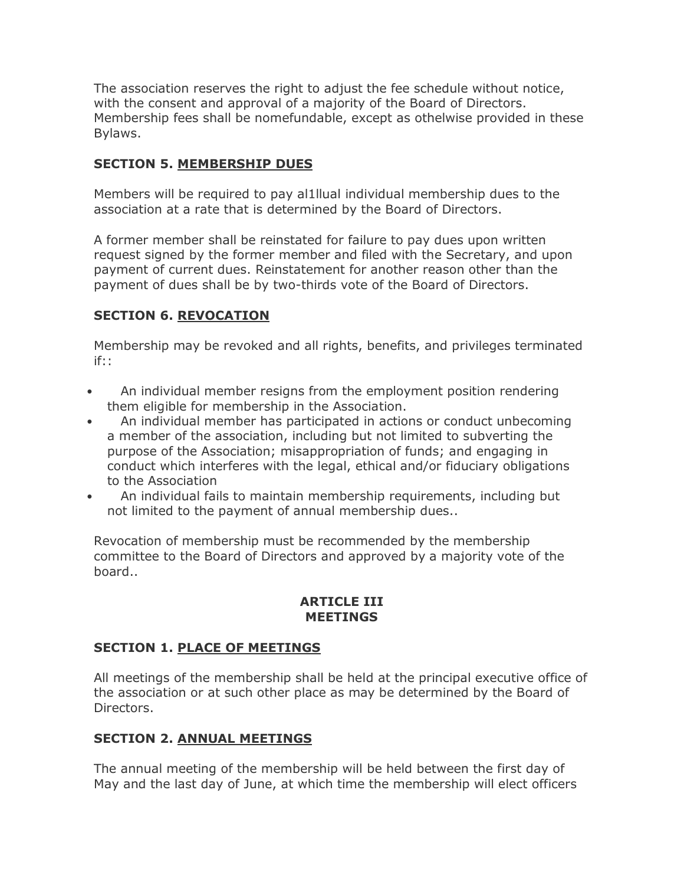The association reserves the right to adjust the fee schedule without notice, with the consent and approval of a majority of the Board of Directors. Membership fees shall be nomefundable, except as othelwise provided in these Bylaws.

## **SECTION 5. MEMBERSHIP DUES**

Members will be required to pay al1llual individual membership dues to the association at a rate that is determined by the Board of Directors.

A former member shall be reinstated for failure to pay dues upon written request signed by the former member and filed with the Secretary, and upon payment of current dues. Reinstatement for another reason other than the payment of dues shall be by two-thirds vote of the Board of Directors.

### **SECTION 6. REVOCATION**

Membership may be revoked and all rights, benefits, and privileges terminated if::

- An individual member resigns from the employment position rendering them eligible for membership in the Association.
- An individual member has participated in actions or conduct unbecoming a member of the association, including but not limited to subverting the purpose of the Association; misappropriation of funds; and engaging in conduct which interferes with the legal, ethical and/or fiduciary obligations to the Association
- An individual fails to maintain membership requirements, including but not limited to the payment of annual membership dues..

Revocation of membership must be recommended by the membership committee to the Board of Directors and approved by a majority vote of the board..

#### **ARTICLE III MEETINGS**

### **SECTION 1. PLACE OF MEETINGS**

All meetings of the membership shall be held at the principal executive office of the association or at such other place as may be determined by the Board of Directors.

### **SECTION 2. ANNUAL MEETINGS**

The annual meeting of the membership will be held between the first day of May and the last day of June, at which time the membership will elect officers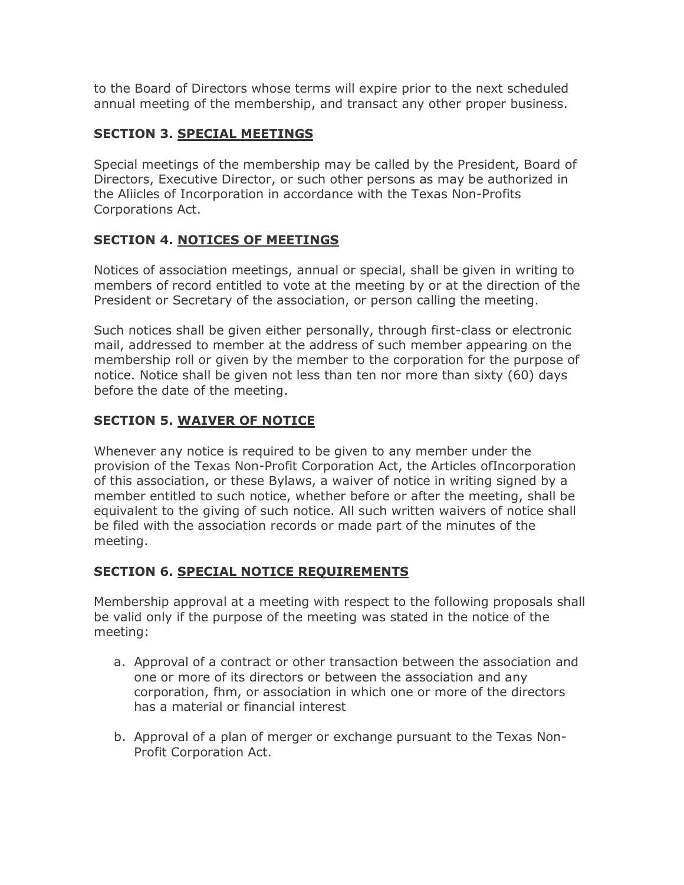to the Board of Directors whose terms will expire prior to the next scheduled annual meeting of the membership, and transact any other proper business.

## **SECTION 3. SPECIAL MEETINGS**

Special meetings of the membership may be called by the President, Board of Directors, Executive Director, or such other persons as may be authorized in the Aliicles of Incorporation in accordance with the Texas Non-Profits Corporations Act.

## **SECTION 4. NOTICES OF MEETINGS**

Notices of association meetings, annual or special, shall be given in writing to members of record entitled to vote at the meeting by or at the direction of the President or Secretary of the association, or person calling the meeting.

Such notices shall be given either personally, through first-class or electronic mail, addressed to member at the address of such member appearing on the membership roll or given by the member to the corporation for the purpose of notice. Notice shall be given not less than ten nor more than sixty (60) days before the date of the meeting.

## **SECTION 5. WAIVER OF NOTICE**

Whenever any notice is required to be given to any member under the provision of the Texas Non-Profit Corporation Act, the Articles ofIncorporation of this association, or these Bylaws, a waiver of notice in writing signed by a member entitled to such notice, whether before or after the meeting, shall be equivalent to the giving of such notice. All such written waivers of notice shall be filed with the association records or made part of the minutes of the meeting.

### **SECTION 6. SPECIAL NOTICE REQUIREMENTS**

Membership approval at a meeting with respect to the following proposals shall be valid only if the purpose of the meeting was stated in the notice of the meeting:

- a. Approval of a contract or other transaction between the association and one or more of its directors or between the association and any corporation, fhm, or association in which one or more of the directors has a material or financial interest
- b. Approval of a plan of merger or exchange pursuant to the Texas Non-Profit Corporation Act.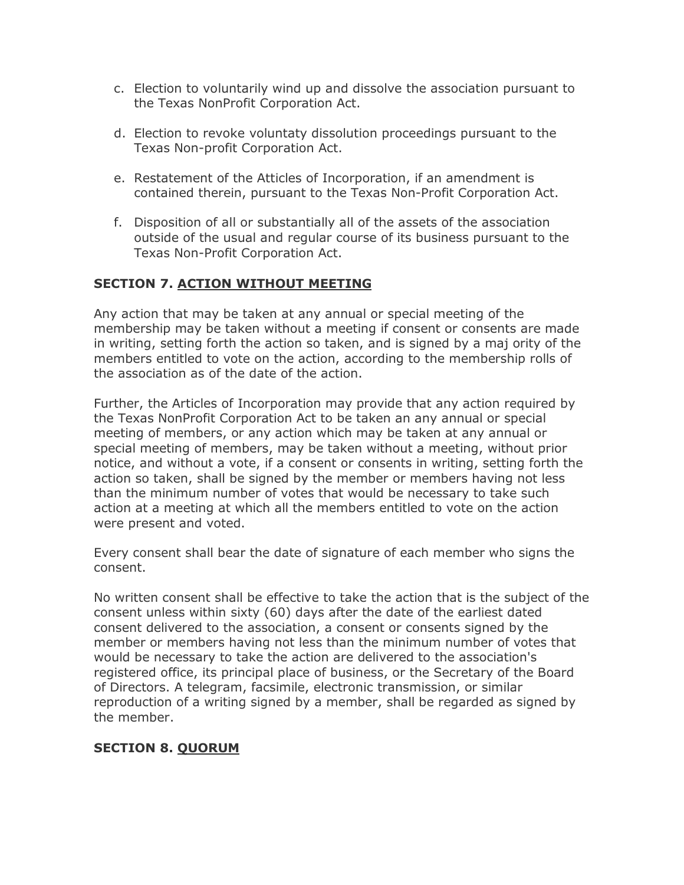- c. Election to voluntarily wind up and dissolve the association pursuant to the Texas NonProfit Corporation Act.
- d. Election to revoke voluntaty dissolution proceedings pursuant to the Texas Non-profit Corporation Act.
- e. Restatement of the Atticles of Incorporation, if an amendment is contained therein, pursuant to the Texas Non-Profit Corporation Act.
- f. Disposition of all or substantially all of the assets of the association outside of the usual and regular course of its business pursuant to the Texas Non-Profit Corporation Act.

### **SECTION 7. ACTION WITHOUT MEETING**

Any action that may be taken at any annual or special meeting of the membership may be taken without a meeting if consent or consents are made in writing, setting forth the action so taken, and is signed by a maj ority of the members entitled to vote on the action, according to the membership rolls of the association as of the date of the action.

Further, the Articles of Incorporation may provide that any action required by the Texas NonProfit Corporation Act to be taken an any annual or special meeting of members, or any action which may be taken at any annual or special meeting of members, may be taken without a meeting, without prior notice, and without a vote, if a consent or consents in writing, setting forth the action so taken, shall be signed by the member or members having not less than the minimum number of votes that would be necessary to take such action at a meeting at which all the members entitled to vote on the action were present and voted.

Every consent shall bear the date of signature of each member who signs the consent.

No written consent shall be effective to take the action that is the subject of the consent unless within sixty (60) days after the date of the earliest dated consent delivered to the association, a consent or consents signed by the member or members having not less than the minimum number of votes that would be necessary to take the action are delivered to the association's registered office, its principal place of business, or the Secretary of the Board of Directors. A telegram, facsimile, electronic transmission, or similar reproduction of a writing signed by a member, shall be regarded as signed by the member.

### **SECTION 8. QUORUM**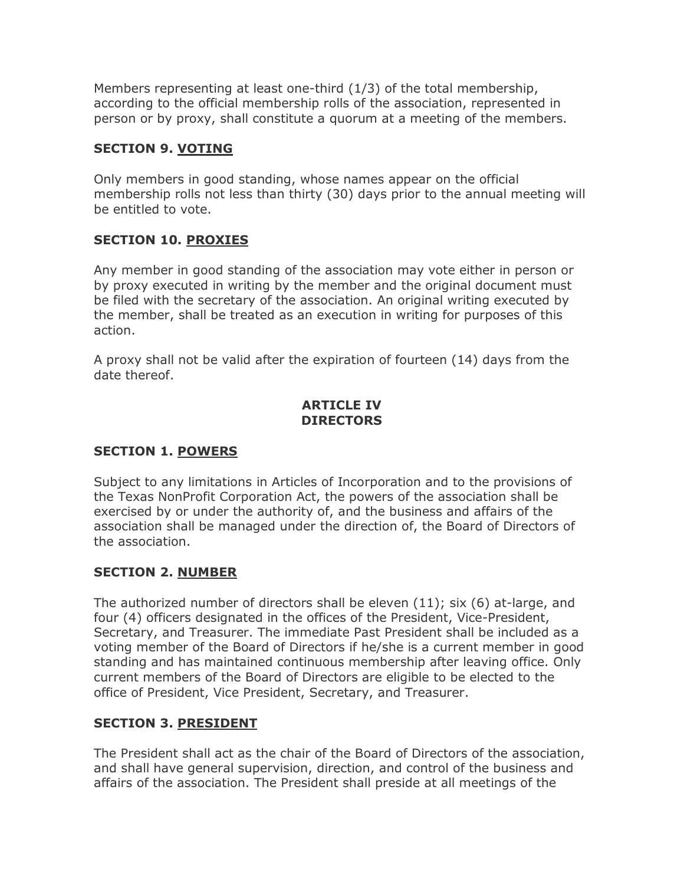Members representing at least one-third (1/3) of the total membership, according to the official membership rolls of the association, represented in person or by proxy, shall constitute a quorum at a meeting of the members.

#### **SECTION 9. VOTING**

Only members in good standing, whose names appear on the official membership rolls not less than thirty (30) days prior to the annual meeting will be entitled to vote.

### **SECTION 10. PROXIES**

Any member in good standing of the association may vote either in person or by proxy executed in writing by the member and the original document must be filed with the secretary of the association. An original writing executed by the member, shall be treated as an execution in writing for purposes of this action.

A proxy shall not be valid after the expiration of fourteen (14) days from the date thereof.

### **ARTICLE IV DIRECTORS**

### **SECTION 1. POWERS**

Subject to any limitations in Articles of Incorporation and to the provisions of the Texas NonProfit Corporation Act, the powers of the association shall be exercised by or under the authority of, and the business and affairs of the association shall be managed under the direction of, the Board of Directors of the association.

### **SECTION 2. NUMBER**

The authorized number of directors shall be eleven (11); six (6) at-large, and four (4) officers designated in the offices of the President, Vice-President, Secretary, and Treasurer. The immediate Past President shall be included as a voting member of the Board of Directors if he/she is a current member in good standing and has maintained continuous membership after leaving office. Only current members of the Board of Directors are eligible to be elected to the office of President, Vice President, Secretary, and Treasurer.

### **SECTION 3. PRESIDENT**

The President shall act as the chair of the Board of Directors of the association, and shall have general supervision, direction, and control of the business and affairs of the association. The President shall preside at all meetings of the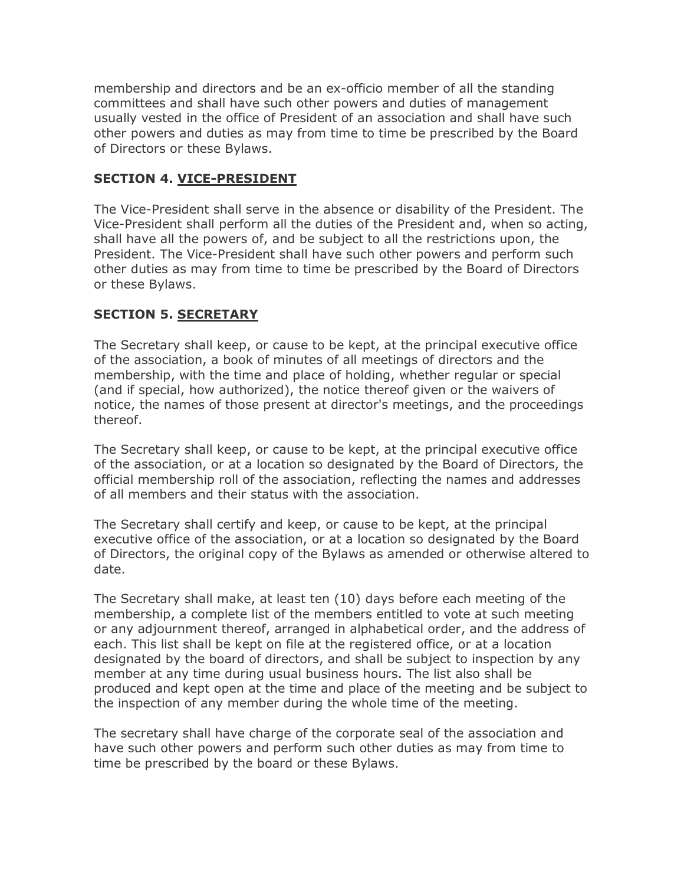membership and directors and be an ex-officio member of all the standing committees and shall have such other powers and duties of management usually vested in the office of President of an association and shall have such other powers and duties as may from time to time be prescribed by the Board of Directors or these Bylaws.

### **SECTION 4. VICE-PRESIDENT**

The Vice-President shall serve in the absence or disability of the President. The Vice-President shall perform all the duties of the President and, when so acting, shall have all the powers of, and be subject to all the restrictions upon, the President. The Vice-President shall have such other powers and perform such other duties as may from time to time be prescribed by the Board of Directors or these Bylaws.

## **SECTION 5. SECRETARY**

The Secretary shall keep, or cause to be kept, at the principal executive office of the association, a book of minutes of all meetings of directors and the membership, with the time and place of holding, whether regular or special (and if special, how authorized), the notice thereof given or the waivers of notice, the names of those present at director's meetings, and the proceedings thereof.

The Secretary shall keep, or cause to be kept, at the principal executive office of the association, or at a location so designated by the Board of Directors, the official membership roll of the association, reflecting the names and addresses of all members and their status with the association.

The Secretary shall certify and keep, or cause to be kept, at the principal executive office of the association, or at a location so designated by the Board of Directors, the original copy of the Bylaws as amended or otherwise altered to date.

The Secretary shall make, at least ten (10) days before each meeting of the membership, a complete list of the members entitled to vote at such meeting or any adjournment thereof, arranged in alphabetical order, and the address of each. This list shall be kept on file at the registered office, or at a location designated by the board of directors, and shall be subject to inspection by any member at any time during usual business hours. The list also shall be produced and kept open at the time and place of the meeting and be subject to the inspection of any member during the whole time of the meeting.

The secretary shall have charge of the corporate seal of the association and have such other powers and perform such other duties as may from time to time be prescribed by the board or these Bylaws.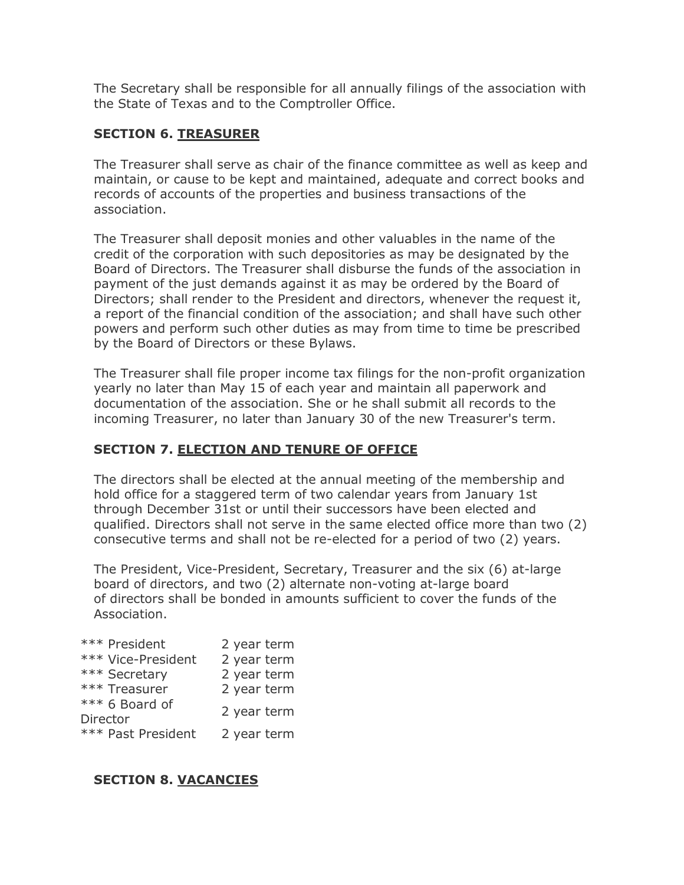The Secretary shall be responsible for all annually filings of the association with the State of Texas and to the Comptroller Office.

## **SECTION 6. TREASURER**

The Treasurer shall serve as chair of the finance committee as well as keep and maintain, or cause to be kept and maintained, adequate and correct books and records of accounts of the properties and business transactions of the association.

The Treasurer shall deposit monies and other valuables in the name of the credit of the corporation with such depositories as may be designated by the Board of Directors. The Treasurer shall disburse the funds of the association in payment of the just demands against it as may be ordered by the Board of Directors; shall render to the President and directors, whenever the request it, a report of the financial condition of the association; and shall have such other powers and perform such other duties as may from time to time be prescribed by the Board of Directors or these Bylaws.

The Treasurer shall file proper income tax filings for the non-profit organization yearly no later than May 15 of each year and maintain all paperwork and documentation of the association. She or he shall submit all records to the incoming Treasurer, no later than January 30 of the new Treasurer's term.

# **SECTION 7. ELECTION AND TENURE OF OFFICE**

The directors shall be elected at the annual meeting of the membership and hold office for a staggered term of two calendar years from January 1st through December 31st or until their successors have been elected and qualified. Directors shall not serve in the same elected office more than two (2) consecutive terms and shall not be re-elected for a period of two (2) years.

The President, Vice-President, Secretary, Treasurer and the six (6) at-large board of directors, and two (2) alternate non-voting at-large board of directors shall be bonded in amounts sufficient to cover the funds of the Association.

| *** President      | 2 year term |
|--------------------|-------------|
| *** Vice-President | 2 year term |
| *** Secretary      | 2 year term |
| *** Treasurer      | 2 year term |
| *** 6 Board of     | 2 year term |
| Director           |             |
| *** Past President | 2 year term |

### **SECTION 8. VACANCIES**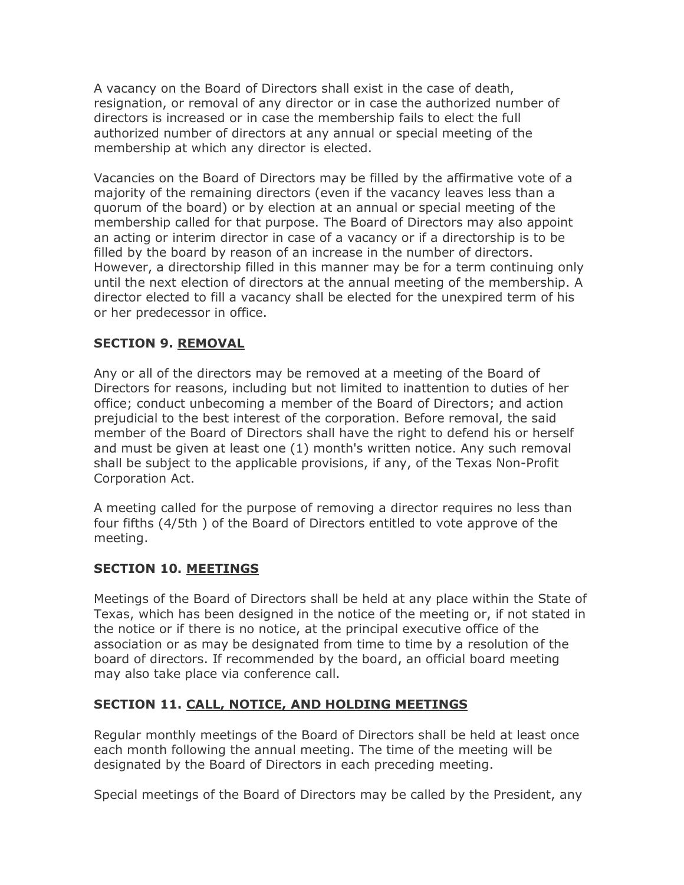A vacancy on the Board of Directors shall exist in the case of death, resignation, or removal of any director or in case the authorized number of directors is increased or in case the membership fails to elect the full authorized number of directors at any annual or special meeting of the membership at which any director is elected.

Vacancies on the Board of Directors may be filled by the affirmative vote of a majority of the remaining directors (even if the vacancy leaves less than a quorum of the board) or by election at an annual or special meeting of the membership called for that purpose. The Board of Directors may also appoint an acting or interim director in case of a vacancy or if a directorship is to be filled by the board by reason of an increase in the number of directors. However, a directorship filled in this manner may be for a term continuing only until the next election of directors at the annual meeting of the membership. A director elected to fill a vacancy shall be elected for the unexpired term of his or her predecessor in office.

## **SECTION 9. REMOVAL**

Any or all of the directors may be removed at a meeting of the Board of Directors for reasons, including but not limited to inattention to duties of her office; conduct unbecoming a member of the Board of Directors; and action prejudicial to the best interest of the corporation. Before removal, the said member of the Board of Directors shall have the right to defend his or herself and must be given at least one (1) month's written notice. Any such removal shall be subject to the applicable provisions, if any, of the Texas Non-Profit Corporation Act.

A meeting called for the purpose of removing a director requires no less than four fifths (4/5th ) of the Board of Directors entitled to vote approve of the meeting.

### **SECTION 10. MEETINGS**

Meetings of the Board of Directors shall be held at any place within the State of Texas, which has been designed in the notice of the meeting or, if not stated in the notice or if there is no notice, at the principal executive office of the association or as may be designated from time to time by a resolution of the board of directors. If recommended by the board, an official board meeting may also take place via conference call.

### **SECTION 11. CALL, NOTICE, AND HOLDING MEETINGS**

Regular monthly meetings of the Board of Directors shall be held at least once each month following the annual meeting. The time of the meeting will be designated by the Board of Directors in each preceding meeting.

Special meetings of the Board of Directors may be called by the President, any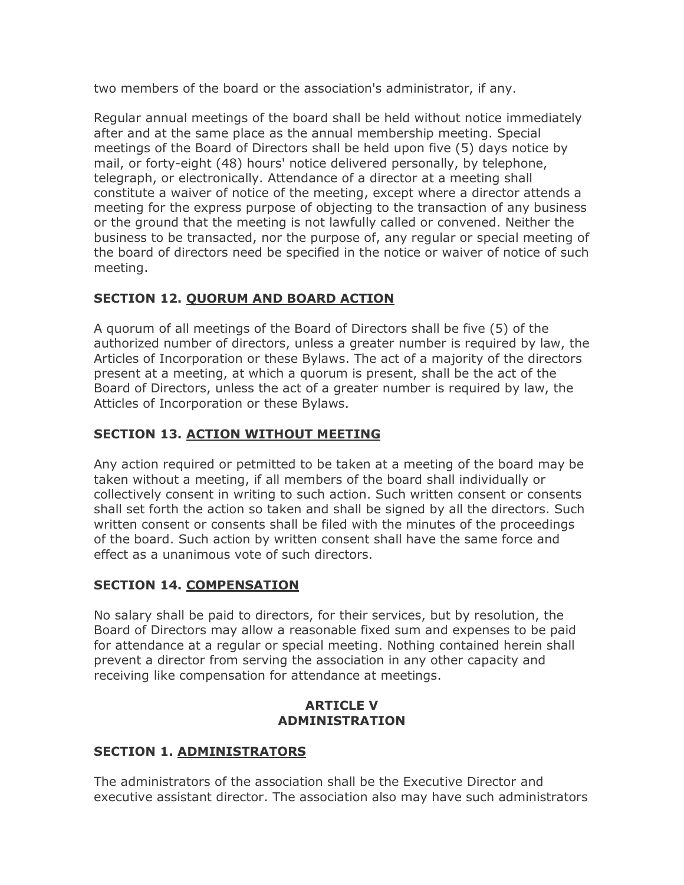two members of the board or the association's administrator, if any.

Regular annual meetings of the board shall be held without notice immediately after and at the same place as the annual membership meeting. Special meetings of the Board of Directors shall be held upon five (5) days notice by mail, or forty-eight (48) hours' notice delivered personally, by telephone, telegraph, or electronically. Attendance of a director at a meeting shall constitute a waiver of notice of the meeting, except where a director attends a meeting for the express purpose of objecting to the transaction of any business or the ground that the meeting is not lawfully called or convened. Neither the business to be transacted, nor the purpose of, any regular or special meeting of the board of directors need be specified in the notice or waiver of notice of such meeting.

## **SECTION 12. QUORUM AND BOARD ACTION**

A quorum of all meetings of the Board of Directors shall be five (5) of the authorized number of directors, unless a greater number is required by law, the Articles of Incorporation or these Bylaws. The act of a majority of the directors present at a meeting, at which a quorum is present, shall be the act of the Board of Directors, unless the act of a greater number is required by law, the Atticles of Incorporation or these Bylaws.

## **SECTION 13. ACTION WITHOUT MEETING**

Any action required or petmitted to be taken at a meeting of the board may be taken without a meeting, if all members of the board shall individually or collectively consent in writing to such action. Such written consent or consents shall set forth the action so taken and shall be signed by all the directors. Such written consent or consents shall be filed with the minutes of the proceedings of the board. Such action by written consent shall have the same force and effect as a unanimous vote of such directors.

# **SECTION 14. COMPENSATION**

No salary shall be paid to directors, for their services, but by resolution, the Board of Directors may allow a reasonable fixed sum and expenses to be paid for attendance at a regular or special meeting. Nothing contained herein shall prevent a director from serving the association in any other capacity and receiving like compensation for attendance at meetings.

### **ARTICLE V ADMINISTRATION**

### **SECTION 1. ADMINISTRATORS**

The administrators of the association shall be the Executive Director and executive assistant director. The association also may have such administrators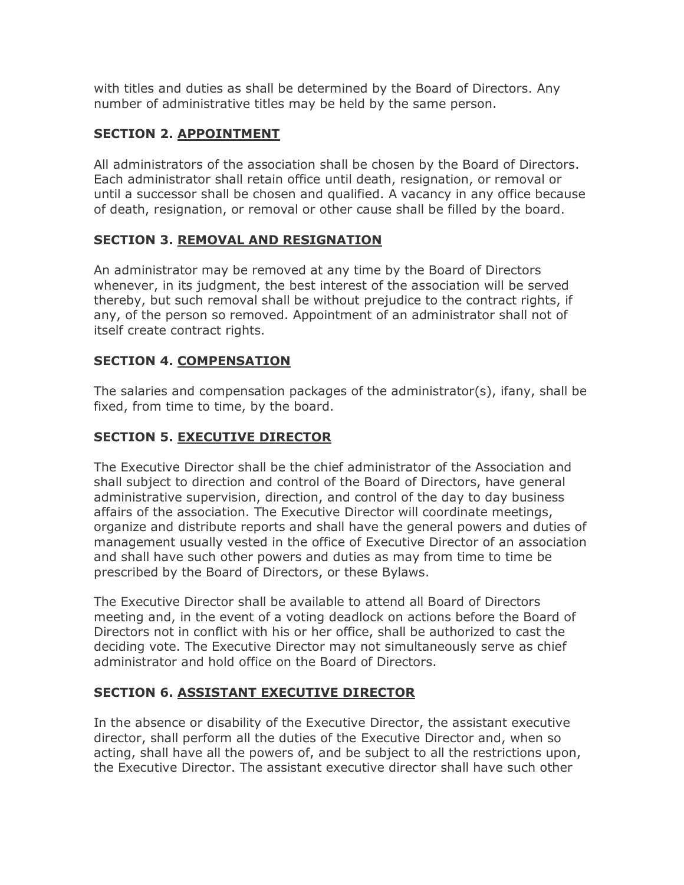with titles and duties as shall be determined by the Board of Directors. Any number of administrative titles may be held by the same person.

# **SECTION 2. APPOINTMENT**

All administrators of the association shall be chosen by the Board of Directors. Each administrator shall retain office until death, resignation, or removal or until a successor shall be chosen and qualified. A vacancy in any office because of death, resignation, or removal or other cause shall be filled by the board.

## **SECTION 3. REMOVAL AND RESIGNATION**

An administrator may be removed at any time by the Board of Directors whenever, in its judgment, the best interest of the association will be served thereby, but such removal shall be without prejudice to the contract rights, if any, of the person so removed. Appointment of an administrator shall not of itself create contract rights.

## **SECTION 4. COMPENSATION**

The salaries and compensation packages of the administrator(s), ifany, shall be fixed, from time to time, by the board.

# **SECTION 5. EXECUTIVE DIRECTOR**

The Executive Director shall be the chief administrator of the Association and shall subject to direction and control of the Board of Directors, have general administrative supervision, direction, and control of the day to day business affairs of the association. The Executive Director will coordinate meetings, organize and distribute reports and shall have the general powers and duties of management usually vested in the office of Executive Director of an association and shall have such other powers and duties as may from time to time be prescribed by the Board of Directors, or these Bylaws.

The Executive Director shall be available to attend all Board of Directors meeting and, in the event of a voting deadlock on actions before the Board of Directors not in conflict with his or her office, shall be authorized to cast the deciding vote. The Executive Director may not simultaneously serve as chief administrator and hold office on the Board of Directors.

# **SECTION 6. ASSISTANT EXECUTIVE DIRECTOR**

In the absence or disability of the Executive Director, the assistant executive director, shall perform all the duties of the Executive Director and, when so acting, shall have all the powers of, and be subject to all the restrictions upon, the Executive Director. The assistant executive director shall have such other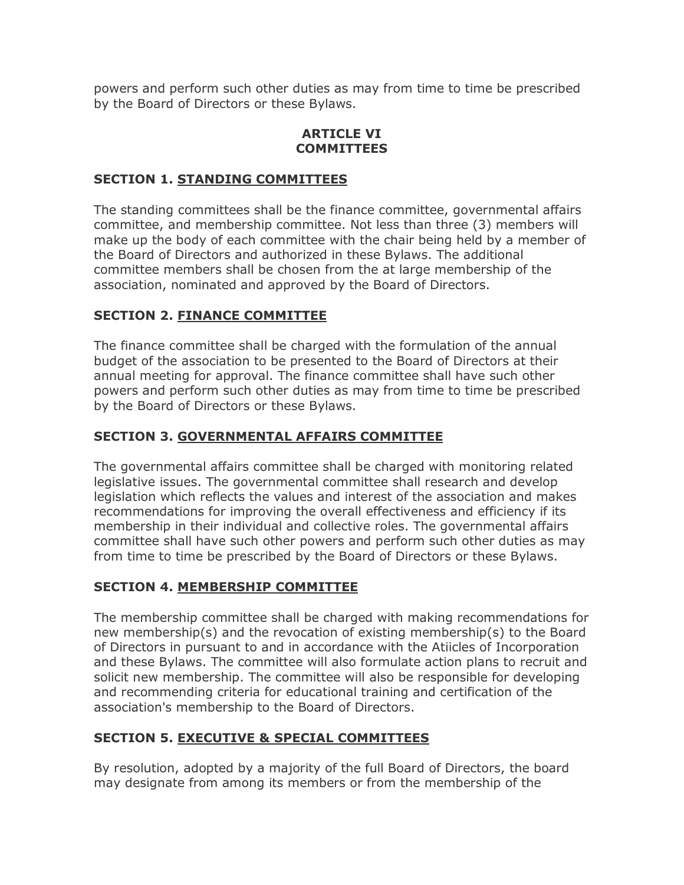powers and perform such other duties as may from time to time be prescribed by the Board of Directors or these Bylaws.

#### **ARTICLE VI COMMITTEES**

### **SECTION 1. STANDING COMMITTEES**

The standing committees shall be the finance committee, governmental affairs committee, and membership committee. Not less than three (3) members will make up the body of each committee with the chair being held by a member of the Board of Directors and authorized in these Bylaws. The additional committee members shall be chosen from the at large membership of the association, nominated and approved by the Board of Directors.

## **SECTION 2. FINANCE COMMITTEE**

The finance committee shall be charged with the formulation of the annual budget of the association to be presented to the Board of Directors at their annual meeting for approval. The finance committee shall have such other powers and perform such other duties as may from time to time be prescribed by the Board of Directors or these Bylaws.

## **SECTION 3. GOVERNMENTAL AFFAIRS COMMITTEE**

The governmental affairs committee shall be charged with monitoring related legislative issues. The governmental committee shall research and develop legislation which reflects the values and interest of the association and makes recommendations for improving the overall effectiveness and efficiency if its membership in their individual and collective roles. The governmental affairs committee shall have such other powers and perform such other duties as may from time to time be prescribed by the Board of Directors or these Bylaws.

# **SECTION 4. MEMBERSHIP COMMITTEE**

The membership committee shall be charged with making recommendations for new membership(s) and the revocation of existing membership(s) to the Board of Directors in pursuant to and in accordance with the Atiicles of Incorporation and these Bylaws. The committee will also formulate action plans to recruit and solicit new membership. The committee will also be responsible for developing and recommending criteria for educational training and certification of the association's membership to the Board of Directors.

# **SECTION 5. EXECUTIVE & SPECIAL COMMITTEES**

By resolution, adopted by a majority of the full Board of Directors, the board may designate from among its members or from the membership of the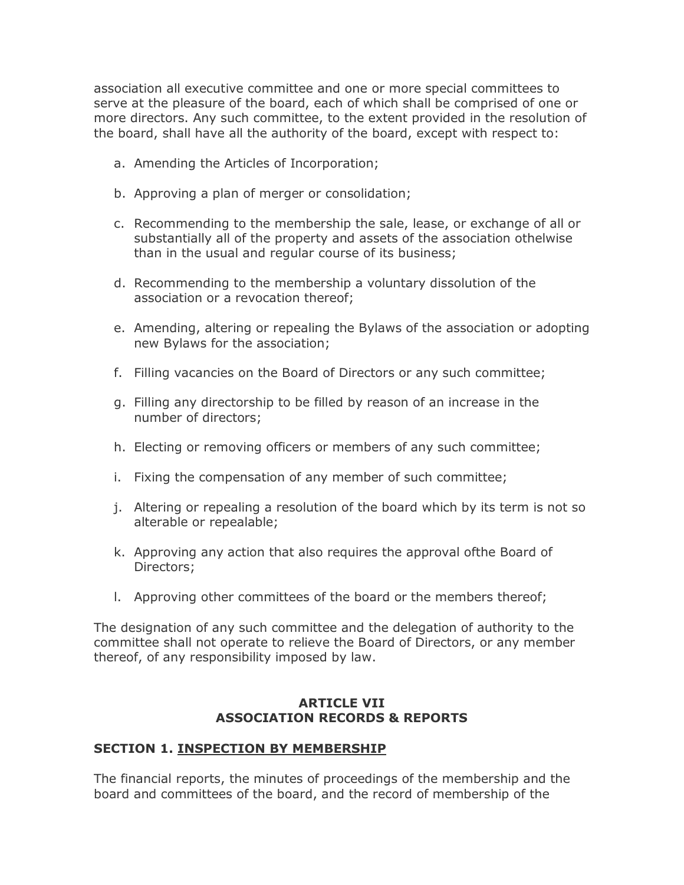association all executive committee and one or more special committees to serve at the pleasure of the board, each of which shall be comprised of one or more directors. Any such committee, to the extent provided in the resolution of the board, shall have all the authority of the board, except with respect to:

- a. Amending the Articles of Incorporation;
- b. Approving a plan of merger or consolidation;
- c. Recommending to the membership the sale, lease, or exchange of all or substantially all of the property and assets of the association othelwise than in the usual and regular course of its business;
- d. Recommending to the membership a voluntary dissolution of the association or a revocation thereof;
- e. Amending, altering or repealing the Bylaws of the association or adopting new Bylaws for the association;
- f. Filling vacancies on the Board of Directors or any such committee;
- g. Filling any directorship to be filled by reason of an increase in the number of directors;
- h. Electing or removing officers or members of any such committee;
- i. Fixing the compensation of any member of such committee;
- j. Altering or repealing a resolution of the board which by its term is not so alterable or repealable;
- k. Approving any action that also requires the approval ofthe Board of Directors;
- l. Approving other committees of the board or the members thereof;

The designation of any such committee and the delegation of authority to the committee shall not operate to relieve the Board of Directors, or any member thereof, of any responsibility imposed by law.

#### **ARTICLE VII ASSOCIATION RECORDS & REPORTS**

### **SECTION 1. INSPECTION BY MEMBERSHIP**

The financial reports, the minutes of proceedings of the membership and the board and committees of the board, and the record of membership of the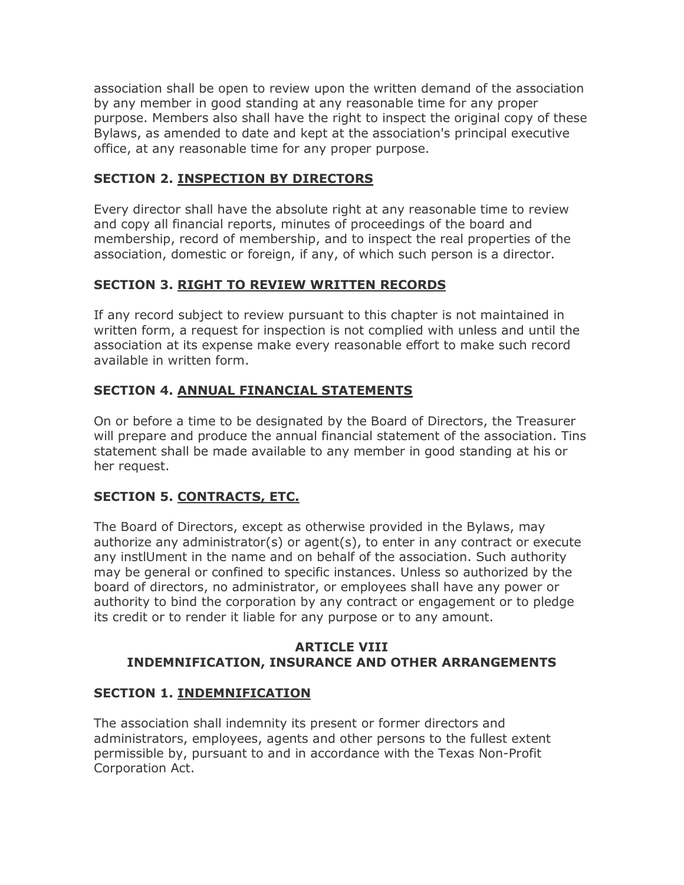association shall be open to review upon the written demand of the association by any member in good standing at any reasonable time for any proper purpose. Members also shall have the right to inspect the original copy of these Bylaws, as amended to date and kept at the association's principal executive office, at any reasonable time for any proper purpose.

## **SECTION 2. INSPECTION BY DIRECTORS**

Every director shall have the absolute right at any reasonable time to review and copy all financial reports, minutes of proceedings of the board and membership, record of membership, and to inspect the real properties of the association, domestic or foreign, if any, of which such person is a director.

# **SECTION 3. RIGHT TO REVIEW WRITTEN RECORDS**

If any record subject to review pursuant to this chapter is not maintained in written form, a request for inspection is not complied with unless and until the association at its expense make every reasonable effort to make such record available in written form.

## **SECTION 4. ANNUAL FINANCIAL STATEMENTS**

On or before a time to be designated by the Board of Directors, the Treasurer will prepare and produce the annual financial statement of the association. Tins statement shall be made available to any member in good standing at his or her request.

# **SECTION 5. CONTRACTS, ETC.**

The Board of Directors, except as otherwise provided in the Bylaws, may authorize any administrator(s) or agent(s), to enter in any contract or execute any instlUment in the name and on behalf of the association. Such authority may be general or confined to specific instances. Unless so authorized by the board of directors, no administrator, or employees shall have any power or authority to bind the corporation by any contract or engagement or to pledge its credit or to render it liable for any purpose or to any amount.

#### **ARTICLE VIII INDEMNIFICATION, INSURANCE AND OTHER ARRANGEMENTS**

### **SECTION 1. INDEMNIFICATION**

The association shall indemnity its present or former directors and administrators, employees, agents and other persons to the fullest extent permissible by, pursuant to and in accordance with the Texas Non-Profit Corporation Act.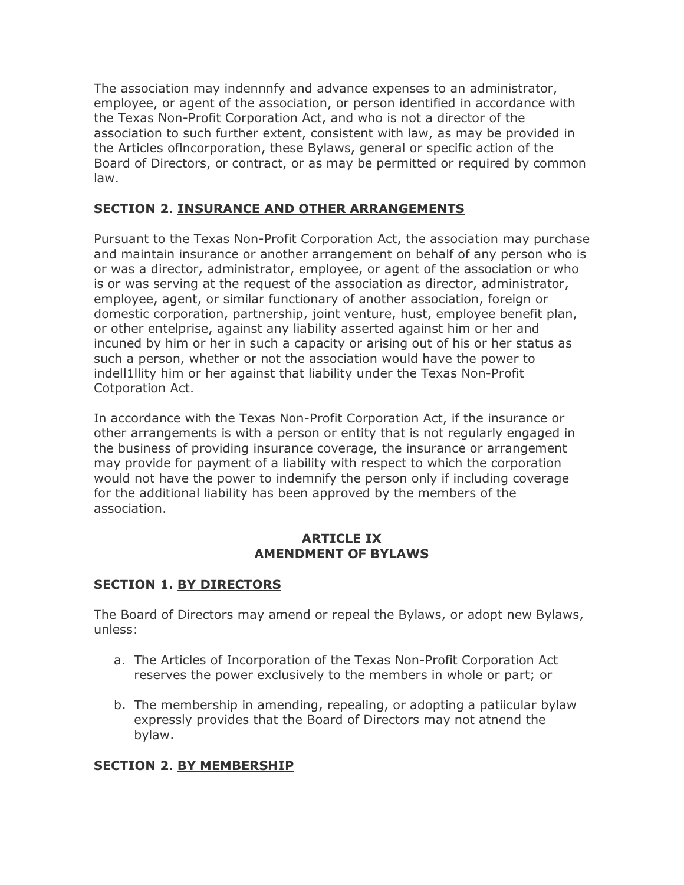The association may indennnfy and advance expenses to an administrator, employee, or agent of the association, or person identified in accordance with the Texas Non-Profit Corporation Act, and who is not a director of the association to such further extent, consistent with law, as may be provided in the Articles oflncorporation, these Bylaws, general or specific action of the Board of Directors, or contract, or as may be permitted or required by common law.

## **SECTION 2. INSURANCE AND OTHER ARRANGEMENTS**

Pursuant to the Texas Non-Profit Corporation Act, the association may purchase and maintain insurance or another arrangement on behalf of any person who is or was a director, administrator, employee, or agent of the association or who is or was serving at the request of the association as director, administrator, employee, agent, or similar functionary of another association, foreign or domestic corporation, partnership, joint venture, hust, employee benefit plan, or other entelprise, against any liability asserted against him or her and incuned by him or her in such a capacity or arising out of his or her status as such a person, whether or not the association would have the power to indell1llity him or her against that liability under the Texas Non-Profit Cotporation Act.

In accordance with the Texas Non-Profit Corporation Act, if the insurance or other arrangements is with a person or entity that is not regularly engaged in the business of providing insurance coverage, the insurance or arrangement may provide for payment of a liability with respect to which the corporation would not have the power to indemnify the person only if including coverage for the additional liability has been approved by the members of the association.

#### **ARTICLE IX AMENDMENT OF BYLAWS**

### **SECTION 1. BY DIRECTORS**

The Board of Directors may amend or repeal the Bylaws, or adopt new Bylaws, unless:

- a. The Articles of Incorporation of the Texas Non-Profit Corporation Act reserves the power exclusively to the members in whole or part; or
- b. The membership in amending, repealing, or adopting a patiicular bylaw expressly provides that the Board of Directors may not atnend the bylaw.

### **SECTION 2. BY MEMBERSHIP**